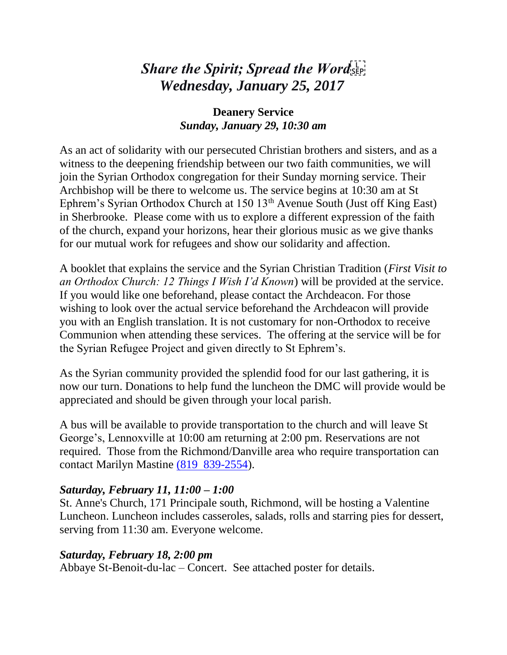# *Share the Spirit; Spread the Word Wednesday, January 25, 2017*

## **Deanery Service** *Sunday, January 29, 10:30 am*

As an act of solidarity with our persecuted Christian brothers and sisters, and as a witness to the deepening friendship between our two faith communities, we will join the Syrian Orthodox congregation for their Sunday morning service. Their Archbishop will be there to welcome us. The service begins at 10:30 am at St Ephrem's Syrian Orthodox Church at  $150 \, 13<sup>th</sup>$  Avenue South (Just off King East) in Sherbrooke. Please come with us to explore a different expression of the faith of the church, expand your horizons, hear their glorious music as we give thanks for our mutual work for refugees and show our solidarity and affection.

A booklet that explains the service and the Syrian Christian Tradition (*First Visit to an Orthodox Church: 12 Things I Wish I'd Known*) will be provided at the service. If you would like one beforehand, please contact the Archdeacon. For those wishing to look over the actual service beforehand the Archdeacon will provide you with an English translation. It is not customary for non-Orthodox to receive Communion when attending these services. The offering at the service will be for the Syrian Refugee Project and given directly to St Ephrem's.

As the Syrian community provided the splendid food for our last gathering, it is now our turn. Donations to help fund the luncheon the DMC will provide would be appreciated and should be given through your local parish.

A bus will be available to provide transportation to the church and will leave St George's, Lennoxville at 10:00 am returning at 2:00 pm. Reservations are not required. Those from the Richmond/Danville area who require transportation can contact Marilyn Mastine (819 [839-2554\)](tel:%28819%29%20839-2554).

#### *Saturday, February 11, 11:00 – 1:00*

St. Anne's Church, 171 Principale south, Richmond, will be hosting a Valentine Luncheon. Luncheon includes casseroles, salads, rolls and starring pies for dessert, serving from 11:30 am. Everyone welcome.

#### *Saturday, February 18, 2:00 pm*

Abbaye St-Benoit-du-lac – Concert. See attached poster for details.